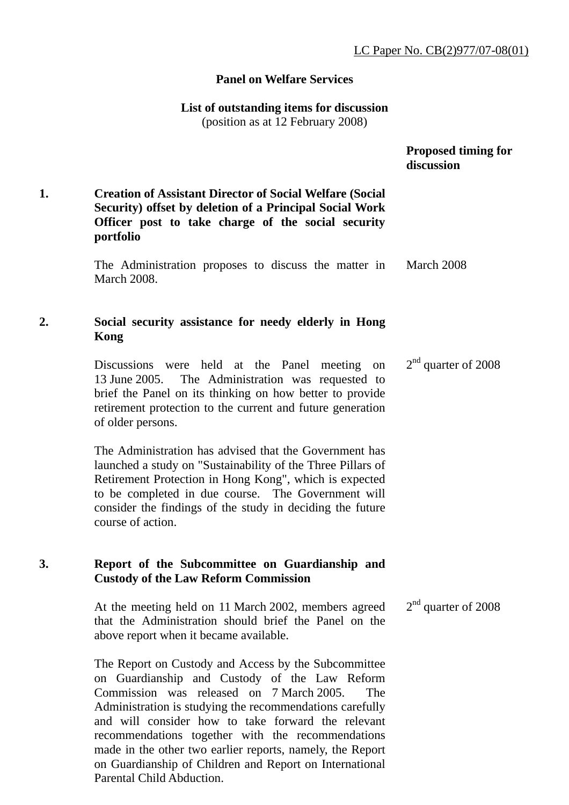## **Panel on Welfare Services**

# **List of outstanding items for discussion**

(position as at 12 February 2008)

|    |                                                                                                                                                                                                                                                                                                                                                                                              | <b>Proposed timing for</b><br>discussion |
|----|----------------------------------------------------------------------------------------------------------------------------------------------------------------------------------------------------------------------------------------------------------------------------------------------------------------------------------------------------------------------------------------------|------------------------------------------|
| 1. | <b>Creation of Assistant Director of Social Welfare (Social</b><br>Security) offset by deletion of a Principal Social Work<br>Officer post to take charge of the social security<br>portfolio                                                                                                                                                                                                |                                          |
|    | The Administration proposes to discuss the matter in<br><b>March 2008.</b>                                                                                                                                                                                                                                                                                                                   | March 2008                               |
|    | Social security assistance for needy elderly in Hong<br>Kong                                                                                                                                                                                                                                                                                                                                 |                                          |
|    | Discussions were held at the Panel<br>meeting on<br>13 June 2005. The Administration was requested to<br>brief the Panel on its thinking on how better to provide<br>retirement protection to the current and future generation<br>of older persons.                                                                                                                                         | $2nd$ quarter of 2008                    |
|    | The Administration has advised that the Government has<br>launched a study on "Sustainability of the Three Pillars of<br>Retirement Protection in Hong Kong", which is expected<br>to be completed in due course. The Government will<br>consider the findings of the study in deciding the future<br>course of action.                                                                      |                                          |
| 3. | Report of the Subcommittee on Guardianship and<br><b>Custody of the Law Reform Commission</b>                                                                                                                                                                                                                                                                                                |                                          |
|    | At the meeting held on 11 March 2002, members agreed<br>that the Administration should brief the Panel on the<br>above report when it became available.                                                                                                                                                                                                                                      | $2nd$ quarter of 2008                    |
|    | The Report on Custody and Access by the Subcommittee<br>on Guardianship and Custody of the Law Reform<br>Commission was released on 7 March 2005.<br>The<br>Administration is studying the recommendations carefully<br>and will consider how to take forward the relevant<br>recommendations together with the recommendations<br>made in the other two earlier reports, namely, the Report |                                          |

on Guardianship of Children and Report on International

Parental Child Abduction.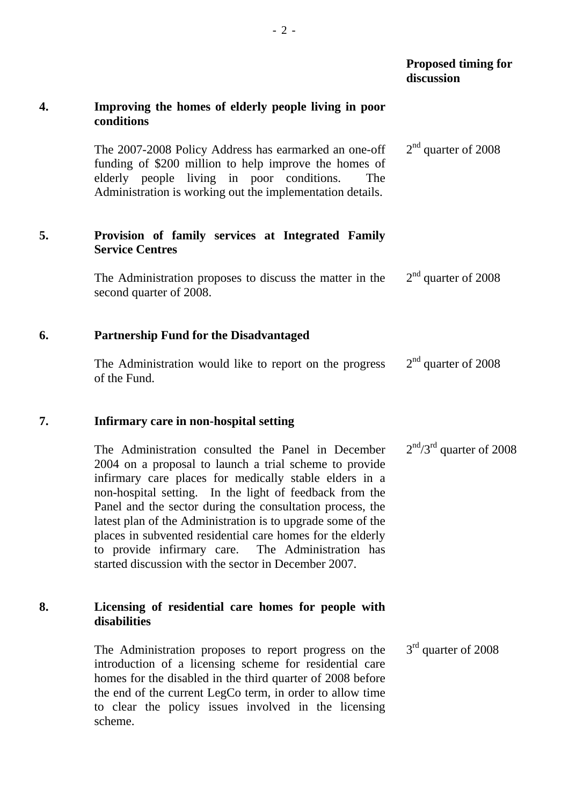# **Proposed timing for discussion**

## **4. Improving the homes of elderly people living in poor conditions**

The 2007-2008 Policy Address has earmarked an one-off funding of \$200 million to help improve the homes of elderly people living in poor conditions. The Administration is working out the implementation details. 2<sup>nd</sup> quarter of 2008

## **5. Provision of family services at Integrated Family Service Centres**

The Administration proposes to discuss the matter in the second quarter of 2008. 2<sup>nd</sup> quarter of 2008

## **6. Partnership Fund for the Disadvantaged**

The Administration would like to report on the progress of the Fund. 2<sup>nd</sup> quarter of 2008

## **7. Infirmary care in non-hospital setting**

The Administration consulted the Panel in December 2004 on a proposal to launch a trial scheme to provide infirmary care places for medically stable elders in a non-hospital setting. In the light of feedback from the Panel and the sector during the consultation process, the latest plan of the Administration is to upgrade some of the places in subvented residential care homes for the elderly to provide infirmary care. The Administration has started discussion with the sector in December 2007.  $2<sup>nd</sup>/3<sup>rd</sup>$  quarter of 2008

## **8. Licensing of residential care homes for people with disabilities**

The Administration proposes to report progress on the introduction of a licensing scheme for residential care homes for the disabled in the third quarter of 2008 before the end of the current LegCo term, in order to allow time to clear the policy issues involved in the licensing scheme. 3<sup>rd</sup> quarter of 2008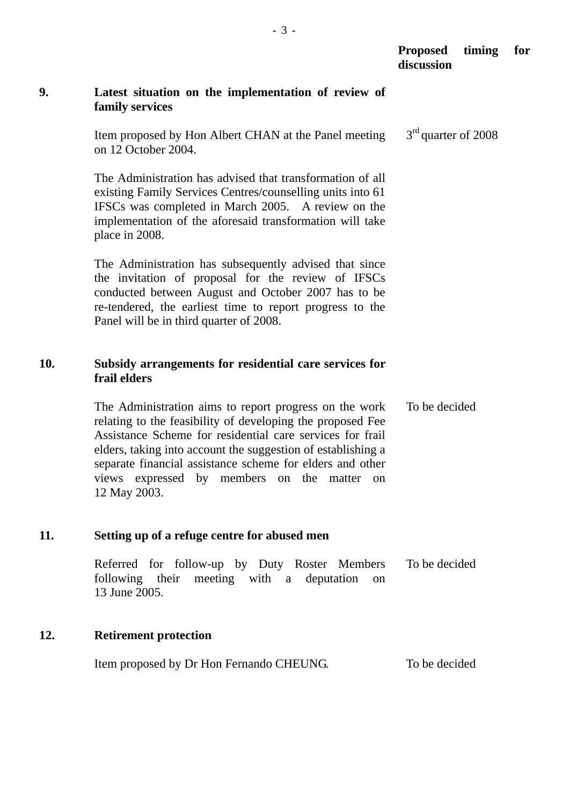|     |                                                                                                                                                                                                                                                                                                                                                                               | <b>Proposed</b><br>discussion | timing | for |
|-----|-------------------------------------------------------------------------------------------------------------------------------------------------------------------------------------------------------------------------------------------------------------------------------------------------------------------------------------------------------------------------------|-------------------------------|--------|-----|
| 9.  | Latest situation on the implementation of review of<br>family services                                                                                                                                                                                                                                                                                                        |                               |        |     |
|     | Item proposed by Hon Albert CHAN at the Panel meeting<br>on 12 October 2004.                                                                                                                                                                                                                                                                                                  | $3rd$ quarter of 2008         |        |     |
|     | The Administration has advised that transformation of all<br>existing Family Services Centres/counselling units into 61<br>IFSCs was completed in March 2005. A review on the<br>implementation of the aforesaid transformation will take<br>place in 2008.                                                                                                                   |                               |        |     |
|     | The Administration has subsequently advised that since<br>the invitation of proposal for the review of IFSCs<br>conducted between August and October 2007 has to be<br>re-tendered, the earliest time to report progress to the<br>Panel will be in third quarter of 2008.                                                                                                    |                               |        |     |
| 10. | Subsidy arrangements for residential care services for<br>frail elders                                                                                                                                                                                                                                                                                                        |                               |        |     |
|     | The Administration aims to report progress on the work<br>relating to the feasibility of developing the proposed Fee<br>Assistance Scheme for residential care services for frail<br>elders, taking into account the suggestion of establishing a<br>separate financial assistance scheme for elders and other<br>views expressed by members on the matter on<br>12 May 2003. | To be decided                 |        |     |
| 11. | Setting up of a refuge centre for abused men                                                                                                                                                                                                                                                                                                                                  |                               |        |     |
|     | Referred for follow-up by Duty Roster Members<br>following their meeting with a deputation<br>on<br>13 June 2005.                                                                                                                                                                                                                                                             | To be decided                 |        |     |
| 12. | <b>Retirement protection</b>                                                                                                                                                                                                                                                                                                                                                  |                               |        |     |
|     | Item proposed by Dr Hon Fernando CHEUNG.                                                                                                                                                                                                                                                                                                                                      | To be decided                 |        |     |
|     |                                                                                                                                                                                                                                                                                                                                                                               |                               |        |     |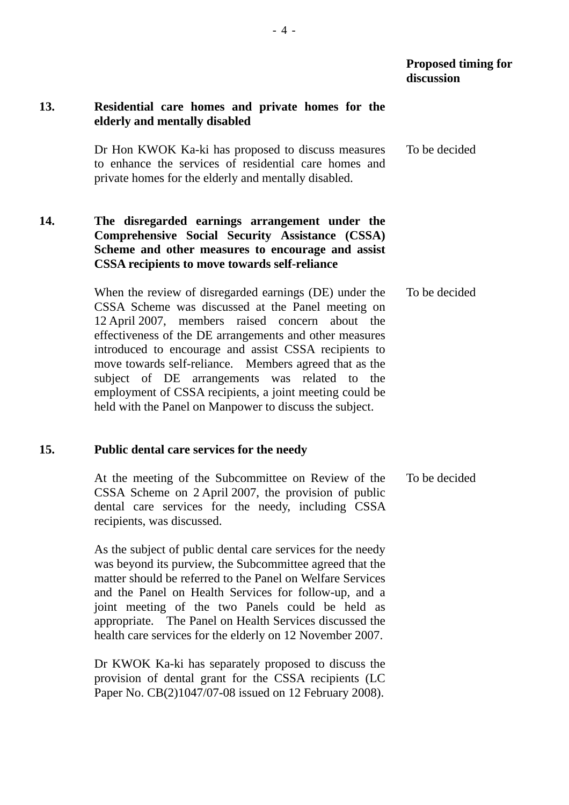#### **Proposed timing for discussion**

## **13. Residential care homes and private homes for the elderly and mentally disabled**

Dr Hon KWOK Ka-ki has proposed to discuss measures to enhance the services of residential care homes and private homes for the elderly and mentally disabled. To be decided

## **14. The disregarded earnings arrangement under the Comprehensive Social Security Assistance (CSSA) Scheme and other measures to encourage and assist CSSA recipients to move towards self-reliance**

When the review of disregarded earnings (DE) under the CSSA Scheme was discussed at the Panel meeting on 12 April 2007, members raised concern about the effectiveness of the DE arrangements and other measures introduced to encourage and assist CSSA recipients to move towards self-reliance. Members agreed that as the subject of DE arrangements was related to the employment of CSSA recipients, a joint meeting could be held with the Panel on Manpower to discuss the subject. To be decided

#### **15. Public dental care services for the needy**

At the meeting of the Subcommittee on Review of the CSSA Scheme on 2 April 2007, the provision of public dental care services for the needy, including CSSA recipients, was discussed. To be decided

As the subject of public dental care services for the needy was beyond its purview, the Subcommittee agreed that the matter should be referred to the Panel on Welfare Services and the Panel on Health Services for follow-up, and a joint meeting of the two Panels could be held as appropriate. The Panel on Health Services discussed the health care services for the elderly on 12 November 2007.

Dr KWOK Ka-ki has separately proposed to discuss the provision of dental grant for the CSSA recipients (LC Paper No. CB(2)1047/07-08 issued on 12 February 2008).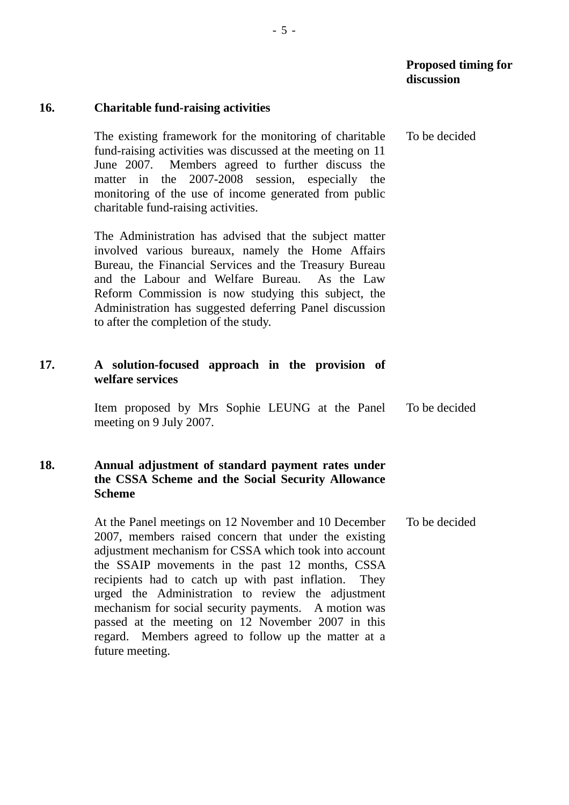# **16. Charitable fund-raising activities**

The existing framework for the monitoring of charitable fund-raising activities was discussed at the meeting on 11 June 2007. Members agreed to further discuss the matter in the 2007-2008 session, especially the monitoring of the use of income generated from public charitable fund-raising activities. To be decided

The Administration has advised that the subject matter involved various bureaux, namely the Home Affairs Bureau, the Financial Services and the Treasury Bureau and the Labour and Welfare Bureau. As the Law Reform Commission is now studying this subject, the Administration has suggested deferring Panel discussion to after the completion of the study.

# **17. A solution-focused approach in the provision of welfare services**

Item proposed by Mrs Sophie LEUNG at the Panel meeting on 9 July 2007. To be decided

# **18. Annual adjustment of standard payment rates under the CSSA Scheme and the Social Security Allowance Scheme**

At the Panel meetings on 12 November and 10 December 2007, members raised concern that under the existing adjustment mechanism for CSSA which took into account the SSAIP movements in the past 12 months, CSSA recipients had to catch up with past inflation. They urged the Administration to review the adjustment mechanism for social security payments. A motion was passed at the meeting on 12 November 2007 in this regard. Members agreed to follow up the matter at a future meeting. To be decided